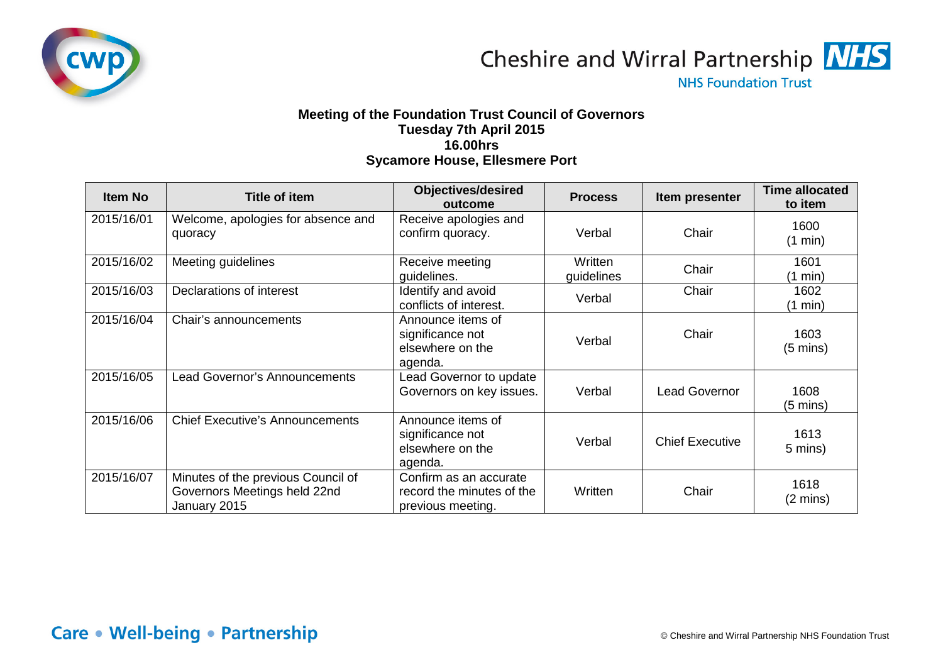

Cheshire and Wirral Partnership MHS

**NHS Foundation Trust** 

## **Meeting of the Foundation Trust Council of Governors Tuesday 7th April 2015 16.00hrs Sycamore House, Ellesmere Port**

| <b>Item No</b> | <b>Title of item</b>                                                               | <b>Objectives/desired</b><br>outcome                                     | <b>Process</b>        | Item presenter         | <b>Time allocated</b><br>to item |
|----------------|------------------------------------------------------------------------------------|--------------------------------------------------------------------------|-----------------------|------------------------|----------------------------------|
| 2015/16/01     | Welcome, apologies for absence and<br>quoracy                                      | Receive apologies and<br>confirm quoracy.                                | Verbal                | Chair                  | 1600<br>(1 min)                  |
| 2015/16/02     | Meeting guidelines                                                                 | Receive meeting<br>guidelines.                                           | Written<br>guidelines | Chair                  | 1601<br>$(1 \text{ min})$        |
| 2015/16/03     | Declarations of interest                                                           | Identify and avoid<br>conflicts of interest.                             | Verbal                | Chair                  | 1602<br>$(1 \text{ min})$        |
| 2015/16/04     | Chair's announcements                                                              | Announce items of<br>significance not<br>elsewhere on the<br>agenda.     | Verbal                | Chair                  | 1603<br>$(5 \text{ mins})$       |
| 2015/16/05     | Lead Governor's Announcements                                                      | Lead Governor to update<br>Governors on key issues.                      | Verbal                | <b>Lead Governor</b>   | 1608<br>$(5 \text{ mins})$       |
| 2015/16/06     | <b>Chief Executive's Announcements</b>                                             | Announce items of<br>significance not<br>elsewhere on the<br>agenda.     | Verbal                | <b>Chief Executive</b> | 1613<br>5 mins)                  |
| 2015/16/07     | Minutes of the previous Council of<br>Governors Meetings held 22nd<br>January 2015 | Confirm as an accurate<br>record the minutes of the<br>previous meeting. | Written               | Chair                  | 1618<br>$(2 \text{ mins})$       |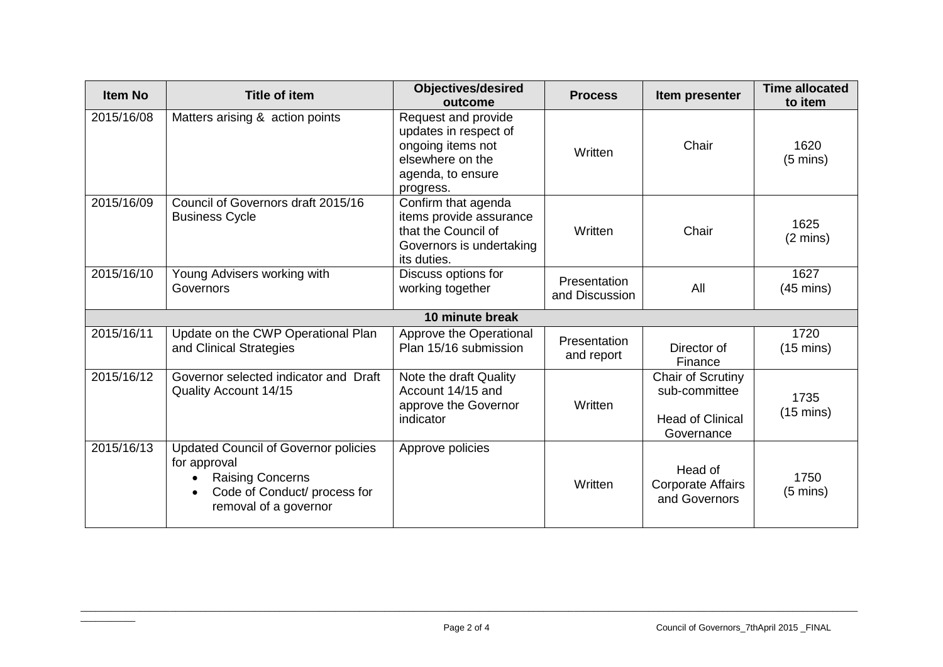| <b>Item No</b> | <b>Title of item</b>                                                                                                                            | <b>Objectives/desired</b><br>outcome                                                                                    | <b>Process</b>                 | Item presenter                                                              | <b>Time allocated</b><br>to item |
|----------------|-------------------------------------------------------------------------------------------------------------------------------------------------|-------------------------------------------------------------------------------------------------------------------------|--------------------------------|-----------------------------------------------------------------------------|----------------------------------|
| 2015/16/08     | Matters arising & action points                                                                                                                 | Request and provide<br>updates in respect of<br>ongoing items not<br>elsewhere on the<br>agenda, to ensure<br>progress. | Written                        | Chair                                                                       | 1620<br>$(5 \text{ mins})$       |
| 2015/16/09     | Council of Governors draft 2015/16<br><b>Business Cycle</b>                                                                                     | Confirm that agenda<br>items provide assurance<br>that the Council of<br>Governors is undertaking<br>its duties.        | Written                        | Chair                                                                       | 1625<br>$(2 \text{ mins})$       |
| 2015/16/10     | Young Advisers working with<br>Governors                                                                                                        | Discuss options for<br>working together                                                                                 | Presentation<br>and Discussion | All                                                                         | 1627<br>$(45 \text{ mins})$      |
|                |                                                                                                                                                 | 10 minute break                                                                                                         |                                |                                                                             |                                  |
| 2015/16/11     | Update on the CWP Operational Plan<br>and Clinical Strategies                                                                                   | Approve the Operational<br>Plan 15/16 submission                                                                        | Presentation<br>and report     | Director of<br>Finance                                                      | 1720<br>$(15 \text{ mins})$      |
| 2015/16/12     | Governor selected indicator and Draft<br>Quality Account 14/15                                                                                  | Note the draft Quality<br>Account 14/15 and<br>approve the Governor<br>indicator                                        | Written                        | Chair of Scrutiny<br>sub-committee<br><b>Head of Clinical</b><br>Governance | 1735<br>$(15 \text{ mins})$      |
| 2015/16/13     | <b>Updated Council of Governor policies</b><br>for approval<br><b>Raising Concerns</b><br>Code of Conduct/ process for<br>removal of a governor | Approve policies                                                                                                        | Written                        | Head of<br><b>Corporate Affairs</b><br>and Governors                        | 1750<br>$(5 \text{ mins})$       |

 $\overline{\phantom{a}}$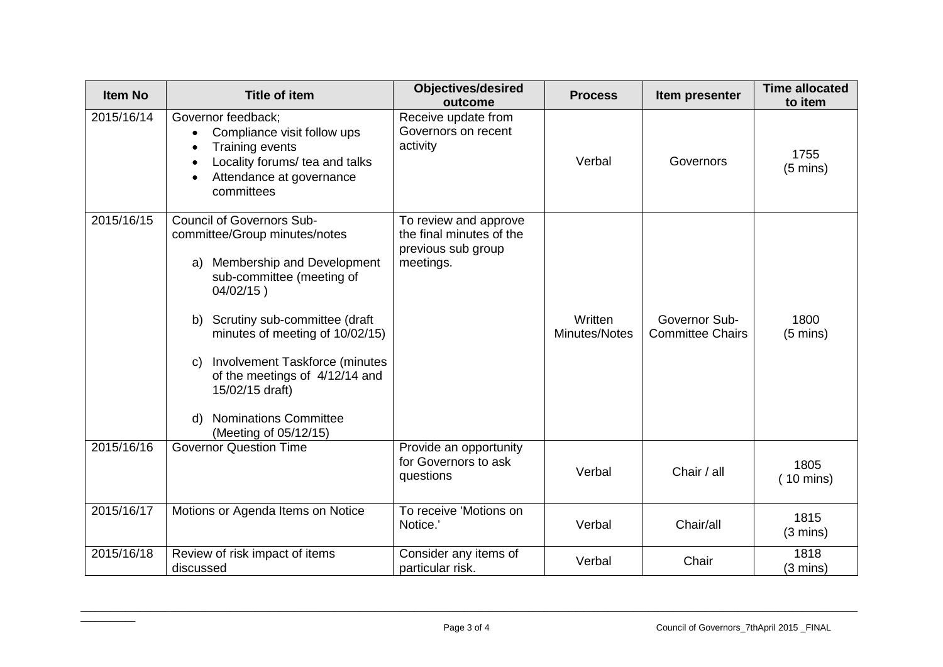| <b>Item No</b> | <b>Title of item</b>                                                                                                                                                                                                                                                                                                                                                                     | <b>Objectives/desired</b><br>outcome                                                 | <b>Process</b>           | Item presenter                           | <b>Time allocated</b><br>to item |
|----------------|------------------------------------------------------------------------------------------------------------------------------------------------------------------------------------------------------------------------------------------------------------------------------------------------------------------------------------------------------------------------------------------|--------------------------------------------------------------------------------------|--------------------------|------------------------------------------|----------------------------------|
| 2015/16/14     | Governor feedback;<br>Compliance visit follow ups<br>$\bullet$<br><b>Training events</b><br>Locality forums/ tea and talks<br>Attendance at governance<br>committees                                                                                                                                                                                                                     | Receive update from<br>Governors on recent<br>activity                               | Verbal                   | Governors                                | 1755<br>$(5 \text{ mins})$       |
| 2015/16/15     | <b>Council of Governors Sub-</b><br>committee/Group minutes/notes<br>Membership and Development<br>a)<br>sub-committee (meeting of<br>$04/02/15$ )<br>Scrutiny sub-committee (draft<br>b)<br>minutes of meeting of 10/02/15)<br>Involvement Taskforce (minutes<br>C)<br>of the meetings of 4/12/14 and<br>15/02/15 draft)<br><b>Nominations Committee</b><br>d)<br>(Meeting of 05/12/15) | To review and approve<br>the final minutes of the<br>previous sub group<br>meetings. | Written<br>Minutes/Notes | Governor Sub-<br><b>Committee Chairs</b> | 1800<br>$(5 \text{ mins})$       |
| 2015/16/16     | <b>Governor Question Time</b>                                                                                                                                                                                                                                                                                                                                                            | Provide an opportunity<br>for Governors to ask<br>questions                          | Verbal                   | Chair / all                              | 1805<br>$(10 \text{ mins})$      |
| 2015/16/17     | Motions or Agenda Items on Notice                                                                                                                                                                                                                                                                                                                                                        | To receive 'Motions on<br>Notice.'                                                   | Verbal                   | Chair/all                                | 1815<br>$(3 \text{ mins})$       |
| 2015/16/18     | Review of risk impact of items<br>discussed                                                                                                                                                                                                                                                                                                                                              | Consider any items of<br>particular risk.                                            | Verbal                   | Chair                                    | 1818<br>$(3 \text{ mins})$       |

 $\overline{\phantom{a}}$